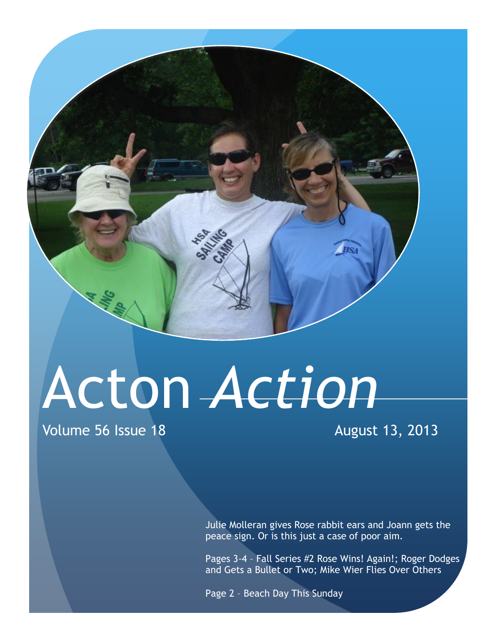## Acton *Action*

Volume 56 Issue 18 August 13, 2013

Julie Molleran gives Rose rabbit ears and Joann gets the peace sign. Or is this just a case of poor aim.

Pages 3-4 – Fall Series #2 Rose Wins! Again!; Roger Dodges and Gets a Bullet or Two; Mike Wier Flies Over Others

Page 2 – Beach Day This Sunday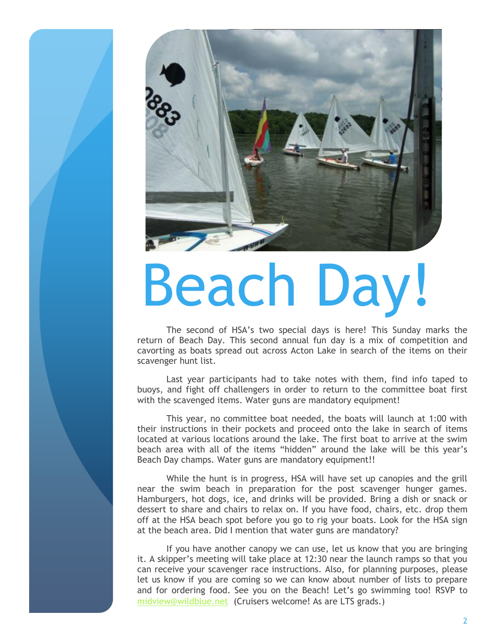

# Beach Day!

The second of HSA's two special days is here! This Sunday marks the return of Beach Day. This second annual fun day is a mix of competition and cavorting as boats spread out across Acton Lake in search of the items on their scavenger hunt list.

Last year participants had to take notes with them, find info taped to buoys, and fight off challengers in order to return to the committee boat first with the scavenged items. Water guns are mandatory equipment!

This year, no committee boat needed, the boats will launch at 1:00 with their instructions in their pockets and proceed onto the lake in search of items located at various locations around the lake. The first boat to arrive at the swim beach area with all of the items "hidden" around the lake will be this year's Beach Day champs. Water guns are mandatory equipment!!

While the hunt is in progress, HSA will have set up canopies and the grill near the swim beach in preparation for the post scavenger hunger games. Hamburgers, hot dogs, ice, and drinks will be provided. Bring a dish or snack or dessert to share and chairs to relax on. If you have food, chairs, etc. drop them off at the HSA beach spot before you go to rig your boats. Look for the HSA sign at the beach area. Did I mention that water guns are mandatory?

If you have another canopy we can use, let us know that you are bringing it. A skipper's meeting will take place at 12:30 near the launch ramps so that you can receive your scavenger race instructions. Also, for planning purposes, please let us know if you are coming so we can know about number of lists to prepare and for ordering food. See you on the Beach! Let's go swimming too! RSVP to [midview@wildblue.net](mailto:midview@wildblue.net) (Cruisers welcome! As are LTS grads.)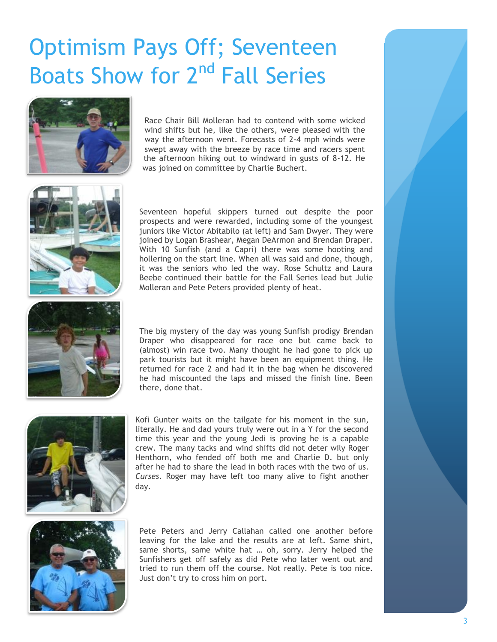### Optimism Pays Off; Seventeen Boats Show for 2<sup>nd</sup> Fall Series



Race Chair Bill Molleran had to contend with some wicked wind shifts but he, like the others, were pleased with the way the afternoon went. Forecasts of 2-4 mph winds were swept away with the breeze by race time and racers spent the afternoon hiking out to windward in gusts of 8-12. He was joined on committee by Charlie Buchert.



Seventeen hopeful skippers turned out despite the poor prospects and were rewarded, including some of the youngest juniors like Victor Abitabilo (at left) and Sam Dwyer. They were joined by Logan Brashear, Megan DeArmon and Brendan Draper. With 10 Sunfish (and a Capri) there was some hooting and hollering on the start line. When all was said and done, though, it was the seniors who led the way. Rose Schultz and Laura Beebe continued their battle for the Fall Series lead but Julie Molleran and Pete Peters provided plenty of heat.



The big mystery of the day was young Sunfish prodigy Brendan Draper who disappeared for race one but came back to (almost) win race two. Many thought he had gone to pick up park tourists but it might have been an equipment thing. He returned for race 2 and had it in the bag when he discovered he had miscounted the laps and missed the finish line. Been there, done that.



Kofi Gunter waits on the tailgate for his moment in the sun, literally. He and dad yours truly were out in a Y for the second time this year and the young Jedi is proving he is a capable crew. The many tacks and wind shifts did not deter wily Roger Henthorn, who fended off both me and Charlie D. but only after he had to share the lead in both races with the two of us. *Curses*. Roger may have left too many alive to fight another day.



Pete Peters and Jerry Callahan called one another before leaving for the lake and the results are at left. Same shirt, same shorts, same white hat … oh, sorry. Jerry helped the Sunfishers get off safely as did Pete who later went out and tried to run them off the course. Not really. Pete is too nice. Just don't try to cross him on port.